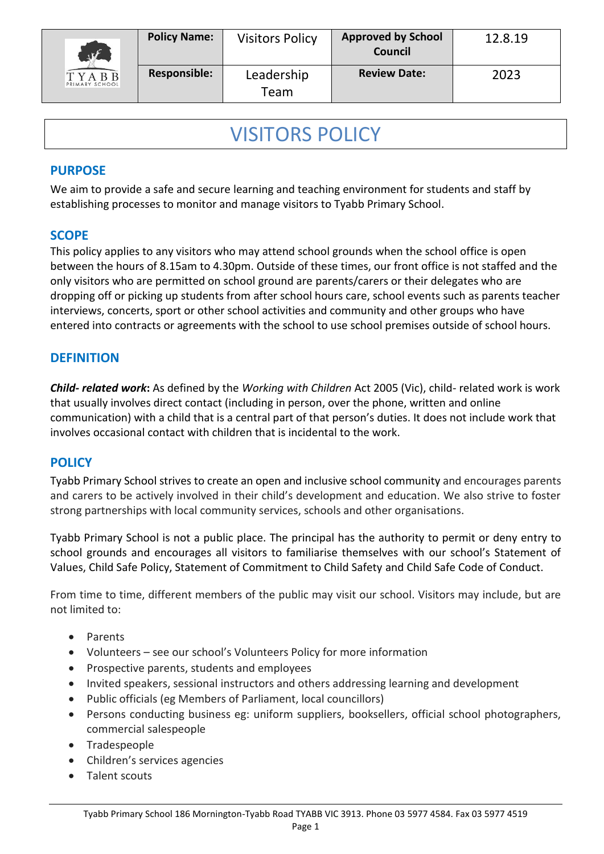| $\sqrt{K}$             | <b>Policy Name:</b> | <b>Visitors Policy</b> | <b>Approved by School</b><br>Council | 12.8.19 |
|------------------------|---------------------|------------------------|--------------------------------------|---------|
| TYABB<br>RIMARY SCHOOL | <b>Responsible:</b> | Leadership<br>Team     | <b>Review Date:</b>                  | 2023    |

# VISITORS POLICY

#### **PURPOSE**

We aim to provide a safe and secure learning and teaching environment for students and staff by establishing processes to monitor and manage visitors to Tyabb Primary School.

#### **SCOPE**

This policy applies to any visitors who may attend school grounds when the school office is open between the hours of 8.15am to 4.30pm. Outside of these times, our front office is not staffed and the only visitors who are permitted on school ground are parents/carers or their delegates who are dropping off or picking up students from after school hours care, school events such as parents teacher interviews, concerts, sport or other school activities and community and other groups who have entered into contracts or agreements with the school to use school premises outside of school hours.

#### **DEFINITION**

*Child- related work***:** As defined by the *Working with Children* Act 2005 (Vic), child- related work is work that usually involves direct contact (including in person, over the phone, written and online communication) with a child that is a central part of that person's duties. It does not include work that involves occasional contact with children that is incidental to the work.

### **POLICY**

Tyabb Primary School strives to create an open and inclusive school community and encourages parents and carers to be actively involved in their child's development and education. We also strive to foster strong partnerships with local community services, schools and other organisations.

Tyabb Primary School is not a public place. The principal has the authority to permit or deny entry to school grounds and encourages all visitors to familiarise themselves with our school's Statement of Values, Child Safe Policy, Statement of Commitment to Child Safety and Child Safe Code of Conduct.

From time to time, different members of the public may visit our school. Visitors may include, but are not limited to:

- Parents
- Volunteers see our school's Volunteers Policy for more information
- Prospective parents, students and employees
- Invited speakers, sessional instructors and others addressing learning and development
- Public officials (eg Members of Parliament, local councillors)
- Persons conducting business eg: uniform suppliers, booksellers, official school photographers, commercial salespeople
- Tradespeople
- Children's services agencies
- Talent scouts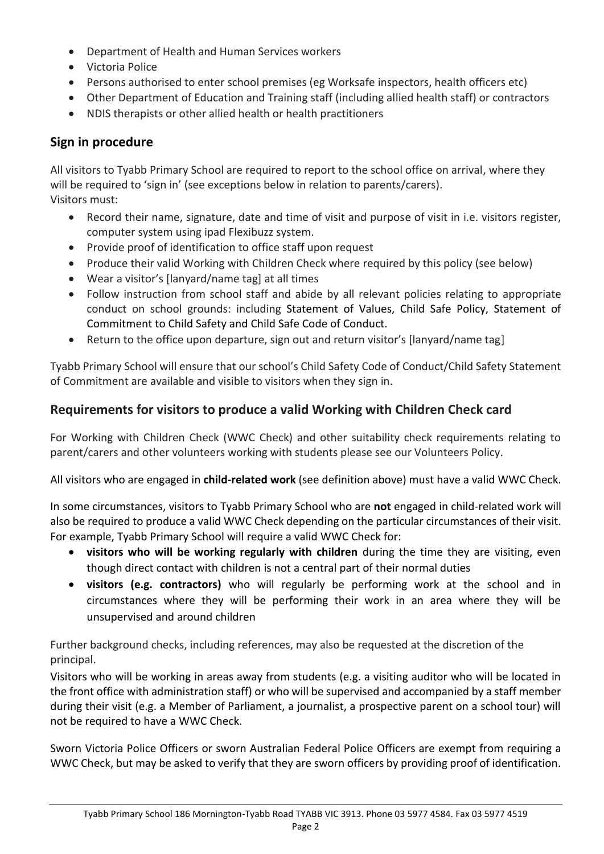- Department of Health and Human Services workers
- Victoria Police
- Persons authorised to enter school premises (eg Worksafe inspectors, health officers etc)
- Other Department of Education and Training staff (including allied health staff) or contractors
- NDIS therapists or other allied health or health practitioners

## **Sign in procedure**

All visitors to Tyabb Primary School are required to report to the school office on arrival, where they will be required to 'sign in' (see exceptions below in relation to parents/carers). Visitors must:

- Record their name, signature, date and time of visit and purpose of visit in i.e. visitors register, computer system using ipad Flexibuzz system.
- Provide proof of identification to office staff upon request
- Produce their valid Working with Children Check where required by this policy (see below)
- Wear a visitor's [lanyard/name tag] at all times
- Follow instruction from school staff and abide by all relevant policies relating to appropriate conduct on school grounds: including Statement of Values, Child Safe Policy, Statement of Commitment to Child Safety and Child Safe Code of Conduct.
- Return to the office upon departure, sign out and return visitor's [lanyard/name tag]

Tyabb Primary School will ensure that our school's Child Safety Code of Conduct/Child Safety Statement of Commitment are available and visible to visitors when they sign in.

## **Requirements for visitors to produce a valid Working with Children Check card**

For Working with Children Check (WWC Check) and other suitability check requirements relating to parent/carers and other volunteers working with students please see our Volunteers Policy.

All visitors who are engaged in **child-related work** (see definition above) must have a valid WWC Check.

In some circumstances, visitors to Tyabb Primary School who are **not** engaged in child-related work will also be required to produce a valid WWC Check depending on the particular circumstances of their visit. For example, Tyabb Primary School will require a valid WWC Check for:

- **visitors who will be working regularly with children** during the time they are visiting, even though direct contact with children is not a central part of their normal duties
- **visitors (e.g. contractors)** who will regularly be performing work at the school and in circumstances where they will be performing their work in an area where they will be unsupervised and around children

Further background checks, including references, may also be requested at the discretion of the principal.

Visitors who will be working in areas away from students (e.g. a visiting auditor who will be located in the front office with administration staff) or who will be supervised and accompanied by a staff member during their visit (e.g. a Member of Parliament, a journalist, a prospective parent on a school tour) will not be required to have a WWC Check.

Sworn Victoria Police Officers or sworn Australian Federal Police Officers are exempt from requiring a WWC Check, but may be asked to verify that they are sworn officers by providing proof of identification.